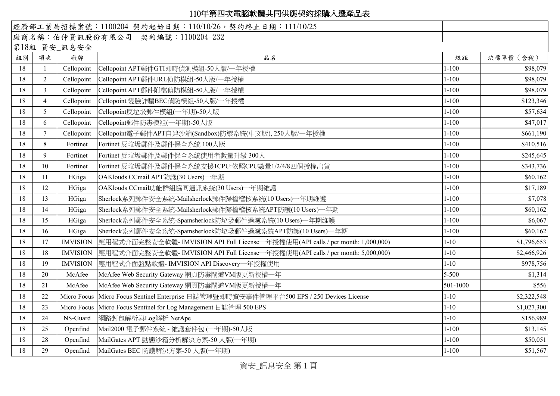## 110年第四次電腦軟體共同供應契約採購入選產品表

|              |                |                 | 經濟部工業局招標案號: 1100204 契約起始日期: 110/10/26, 契約終止日期: 111/10/25                                 |           |             |  |  |  |  |
|--------------|----------------|-----------------|------------------------------------------------------------------------------------------|-----------|-------------|--|--|--|--|
|              |                |                 | 廠商名稱:伯仲資訊股份有限公司 契約編號:1100204-232                                                         |           |             |  |  |  |  |
| 第18組 資安_訊息安全 |                |                 |                                                                                          |           |             |  |  |  |  |
| 組別           | 項次             | 廠牌              | 品名                                                                                       | 級距        | 決標單價 (含稅)   |  |  |  |  |
| 18           | $\overline{1}$ | Cellopoint      | Cellopoint APT郵件GTI即時偵測模組-50人版/一年授權                                                      | $1 - 100$ | \$98,079    |  |  |  |  |
| 18           | $\overline{2}$ | Cellopoint      | Cellopoint APT郵件URL偵防模組-50人版/一年授權                                                        | $1 - 100$ | \$98,079    |  |  |  |  |
| 18           | $\overline{3}$ | Cellopoint      | Cellopoint APT郵件附檔偵防模組-50人版/一年授權                                                         | $1 - 100$ | \$98,079    |  |  |  |  |
| 18           | $\overline{4}$ | Cellopoint      | Cellopoint 變臉詐騙BEC偵防模組-50人版/一年授權                                                         | $1 - 100$ | \$123,346   |  |  |  |  |
| 18           | $\mathfrak{S}$ | Cellopoint      | Cellopoint反垃圾郵件模組(一年期)-50人版                                                              | $1 - 100$ | \$57,634    |  |  |  |  |
| 18           | 6              | Cellopoint      | Cellopoint郵件防毒模組(一年期)-50人版                                                               | $1 - 100$ | \$47,017    |  |  |  |  |
| 18           | 7              | Cellopoint      | Cellopoint電子郵件APT自建沙箱(Sandbox)防禦系統(中文版), 250人版/一年授權                                      | $1 - 100$ | \$661,190   |  |  |  |  |
| 18           | 8              | Fortinet        | Fortinet 反垃圾郵件及郵件保全系統 100人版                                                              | $1 - 100$ | \$410,516   |  |  |  |  |
| 18           | 9              | Fortinet        | Fortinet 反垃圾郵件及郵件保全系統使用者數量升級 300人                                                        | $1 - 100$ | \$245,645   |  |  |  |  |
| 18           | 10             | Fortinet        | Fortinet 反垃圾郵件及郵件保全系統支援1CPU:依照CPU數量1/2/4/8四個授權出貨                                         | $1 - 100$ | \$343,736   |  |  |  |  |
| 18           | 11             | HGiga           | OAKlouds CCmail APT防護(30 Users)一年期                                                       | $1 - 100$ | \$60,162    |  |  |  |  |
| 18           | 12             | HGiga           | OAKlouds CCmail功能群組協同通訊系統(30 Users)一年期維護                                                 | $1 - 100$ | \$17,189    |  |  |  |  |
| 18           | 13             | HGiga           | Sherlock系列郵件安全系統-Mailsherlock郵件歸檔稽核系統(10 Users)一年期維護                                     | $1 - 100$ | \$7,078     |  |  |  |  |
| 18           | 14             | HGiga           | Sherlock系列郵件安全系統-Mailsherlock郵件歸檔稽核系統APT防護(10 Users)一年期                                  | $1 - 100$ | \$60,162    |  |  |  |  |
| 18           | 15             | HGiga           | Sherlock系列郵件安全系統-Spamsherlock防垃圾郵件過濾系統(10 Users)一年期維護                                    | $1 - 100$ | \$6,067     |  |  |  |  |
| 18           | 16             | HGiga           | Sherlock系列郵件安全系統-Spamsherlock防垃圾郵件過濾系統APT防護(10 Users)一年期                                 | $1 - 100$ | \$60,162    |  |  |  |  |
| 18           | 17             | <b>IMVISION</b> | 應用程式介面完整安全軟體- IMVISION API Full License一年授權使用(API calls / per month: 1,000,000)          | $1 - 10$  | \$1,796,653 |  |  |  |  |
| 18           | 18             | <b>IMVISION</b> | 應用程式介面完整安全軟體- IMVISION API Full License一年授權使用(API calls / per month: 5,000,000)          | $1 - 10$  | \$2,466,926 |  |  |  |  |
| 18           | 19             | <b>IMVISION</b> | 應用程式介面盤點軟體- IMVISION API Discovery一年授權使用                                                 | $1 - 10$  | \$978,756   |  |  |  |  |
| 18           | 20             | McAfee          | McAfee Web Security Gateway 網頁防毒閘道VM版更新授權一年                                              | $5 - 500$ | \$1,314     |  |  |  |  |
| 18           | 21             | McAfee          | McAfee Web Security Gateway 網頁防毒閘道VM版更新授權一年                                              | 501-1000  | \$556       |  |  |  |  |
| 18           | 22             |                 | Micro Focus Micro Focus Sentinel Enterprise 日誌管理暨即時資安事件管理平台500 EPS / 250 Devices License | $1 - 10$  | \$2,322,548 |  |  |  |  |
| 18           | 23             |                 | Micro Focus   Micro Focus Sentinel for Log Management 日誌管理 500 EPS                       | $1 - 10$  | \$1,027,300 |  |  |  |  |
| 18           | 24             | NS-Guard        | 網路封包解析與Log解析 NetApe                                                                      | $1 - 10$  | \$156,989   |  |  |  |  |
| 18           | 25             | Openfind        | Mail2000 電子郵件系統 - 維護套件包 (一年期)-50人版                                                       | $1 - 100$ | \$13,145    |  |  |  |  |
| 18           | 28             | Openfind        | MailGates APT 動態沙箱分析解決方案-50 人版(一年期)                                                      | $1 - 100$ | \$50,051    |  |  |  |  |
| 18           | 29             | Openfind        | MailGates BEC 防護解決方案-50 人版(一年期)                                                          | $1 - 100$ | \$51,567    |  |  |  |  |

資安\_訊息安全 第 1 頁